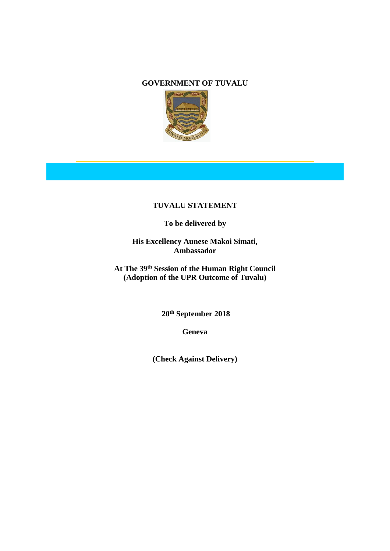#### **GOVERNMENT OF TUVALU**



# **TUVALU STATEMENT**

# **To be delivered by**

**His Excellency Aunese Makoi Simati, Ambassador**

**At The 39th Session of the Human Right Council (Adoption of the UPR Outcome of Tuvalu)**

**20th September 2018**

**Geneva**

**(Check Against Delivery)**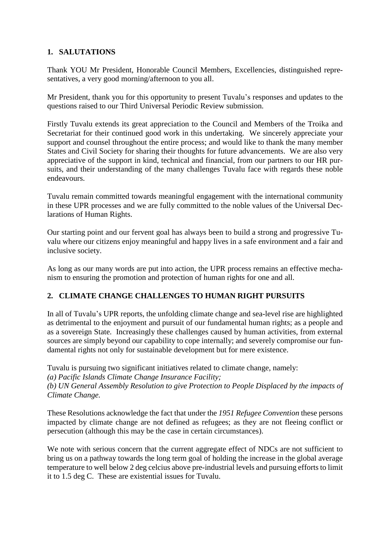### **1. SALUTATIONS**

Thank YOU Mr President, Honorable Council Members, Excellencies, distinguished representatives, a very good morning/afternoon to you all.

Mr President, thank you for this opportunity to present Tuvalu's responses and updates to the questions raised to our Third Universal Periodic Review submission.

Firstly Tuvalu extends its great appreciation to the Council and Members of the Troika and Secretariat for their continued good work in this undertaking. We sincerely appreciate your support and counsel throughout the entire process; and would like to thank the many member States and Civil Society for sharing their thoughts for future advancements. We are also very appreciative of the support in kind, technical and financial, from our partners to our HR pursuits, and their understanding of the many challenges Tuvalu face with regards these noble endeavours.

Tuvalu remain committed towards meaningful engagement with the international community in these UPR processes and we are fully committed to the noble values of the Universal Declarations of Human Rights.

Our starting point and our fervent goal has always been to build a strong and progressive Tuvalu where our citizens enjoy meaningful and happy lives in a safe environment and a fair and inclusive society.

As long as our many words are put into action, the UPR process remains an effective mechanism to ensuring the promotion and protection of human rights for one and all.

## **2. CLIMATE CHANGE CHALLENGES TO HUMAN RIGHT PURSUITS**

In all of Tuvalu's UPR reports, the unfolding climate change and sea-level rise are highlighted as detrimental to the enjoyment and pursuit of our fundamental human rights; as a people and as a sovereign State. Increasingly these challenges caused by human activities, from external sources are simply beyond our capability to cope internally; and severely compromise our fundamental rights not only for sustainable development but for mere existence.

Tuvalu is pursuing two significant initiatives related to climate change, namely:

*(a) Pacific Islands Climate Change Insurance Facility;*

*(b) UN General Assembly Resolution to give Protection to People Displaced by the impacts of Climate Change.* 

These Resolutions acknowledge the fact that under the *1951 Refugee Convention* these persons impacted by climate change are not defined as refugees; as they are not fleeing conflict or persecution (although this may be the case in certain circumstances).

We note with serious concern that the current aggregate effect of NDCs are not sufficient to bring us on a pathway towards the long term goal of holding the increase in the global average temperature to well below 2 deg celcius above pre-industrial levels and pursuing efforts to limit it to 1.5 deg C. These are existential issues for Tuvalu.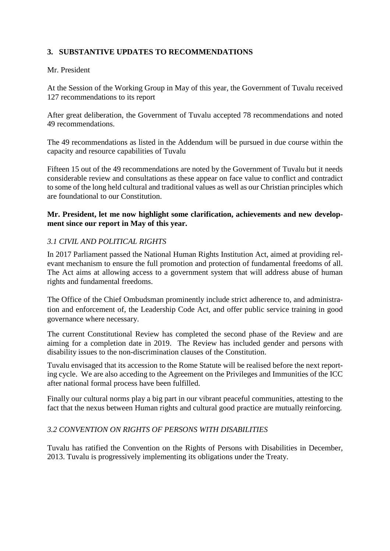### **3. SUBSTANTIVE UPDATES TO RECOMMENDATIONS**

#### Mr. President

At the Session of the Working Group in May of this year, the Government of Tuvalu received 127 recommendations to its report

After great deliberation, the Government of Tuvalu accepted 78 recommendations and noted 49 recommendations.

The 49 recommendations as listed in the Addendum will be pursued in due course within the capacity and resource capabilities of Tuvalu

Fifteen 15 out of the 49 recommendations are noted by the Government of Tuvalu but it needs considerable review and consultations as these appear on face value to conflict and contradict to some of the long held cultural and traditional values as well as our Christian principles which are foundational to our Constitution.

### **Mr. President, let me now highlight some clarification, achievements and new development since our report in May of this year.**

#### *3.1 CIVIL AND POLITICAL RIGHTS*

In 2017 Parliament passed the National Human Rights Institution Act, aimed at providing relevant mechanism to ensure the full promotion and protection of fundamental freedoms of all. The Act aims at allowing access to a government system that will address abuse of human rights and fundamental freedoms.

The Office of the Chief Ombudsman prominently include strict adherence to, and administration and enforcement of, the Leadership Code Act, and offer public service training in good governance where necessary.

The current Constitutional Review has completed the second phase of the Review and are aiming for a completion date in 2019. The Review has included gender and persons with disability issues to the non-discrimination clauses of the Constitution.

Tuvalu envisaged that its accession to the Rome Statute will be realised before the next reporting cycle. We are also acceding to the Agreement on the Privileges and Immunities of the ICC after national formal process have been fulfilled.

Finally our cultural norms play a big part in our vibrant peaceful communities, attesting to the fact that the nexus between Human rights and cultural good practice are mutually reinforcing.

### *3.2 CONVENTION ON RIGHTS OF PERSONS WITH DISABILITIES*

Tuvalu has ratified the Convention on the Rights of Persons with Disabilities in December, 2013. Tuvalu is progressively implementing its obligations under the Treaty.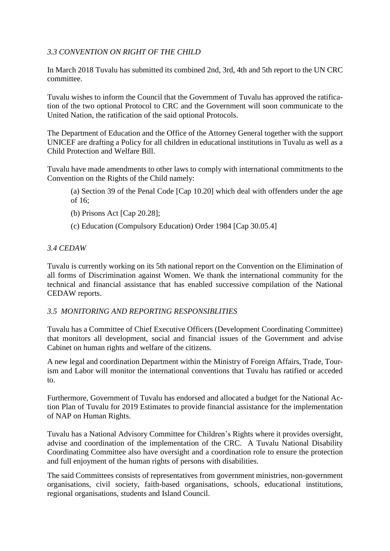### *3.3 CONVENTION ON RIGHT OF THE CHILD*

In March 2018 Tuvalu has submitted its combined 2nd, 3rd, 4th and 5th report to the UN CRC committee.

Tuvalu wishes to inform the Council that the Government of Tuvalu has approved the ratification of the two optional Protocol to CRC and the Government will soon communicate to the United Nation, the ratification of the said optional Protocols.

The Department of Education and the Office of the Attorney General together with the support UNICEF are drafting a Policy for all children in educational institutions in Tuvalu as well as a Child Protection and Welfare Bill.

Tuvalu have made amendments to other laws to comply with international commitments to the Convention on the Rights of the Child namely:

- (a) Section 39 of the Penal Code [Cap 10.20] which deal with offenders under the age of 16;
- (b) Prisons Act [Cap 20.28];
- (c) Education (Compulsory Education) Order 1984 [Cap 30.05.4]

#### *3.4 CEDAW*

Tuvalu is currently working on its 5th national report on the Convention on the Elimination of all forms of Discrimination against Women. We thank the international community for the technical and financial assistance that has enabled successive compilation of the National CEDAW reports.

### *3.5 MONITORING AND REPORTING RESPONSIBLITIES*

Tuvalu has a Committee of Chief Executive Officers (Development Coordinating Committee) that monitors all development, social and financial issues of the Government and advise Cabinet on human rights and welfare of the citizens.

A new legal and coordination Department within the Ministry of Foreign Affairs, Trade, Tourism and Labor will monitor the international conventions that Tuvalu has ratified or acceded to.

Furthermore, Government of Tuvalu has endorsed and allocated a budget for the National Action Plan of Tuvalu for 2019 Estimates to provide financial assistance for the implementation of NAP on Human Rights.

Tuvalu has a National Advisory Committee for Children's Rights where it provides oversight, advise and coordination of the implementation of the CRC. A Tuvalu National Disability Coordinating Committee also have oversight and a coordination role to ensure the protection and full enjoyment of the human rights of persons with disabilities.

The said Committees consists of representatives from government ministries, non-government organisations, civil society, faith-based organisations, schools, educational institutions, regional organisations, students and Island Council.